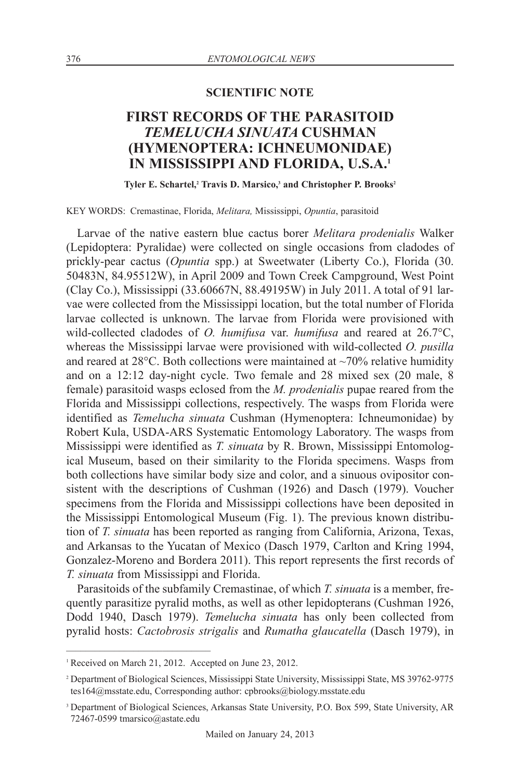## **SCIENTIFIC NOTE**

## **FIRST RECORDS OF THE PARASITOID** *TEMELUCHA SINUATA* **CUSHMAN (HYMENOPTERA: ICHNEUMONIDAE) IN MISSISSIPPI AND FLORIDA, U.S.A. 1**

**Tyler E. Schartel, <sup>2</sup> Travis D. Marsico, <sup>3</sup> and Christopher P. Brooks2**

KEY WORDS: Cremastinae, Florida, *Melitara,* Mississippi, *Opuntia*, parasitoid

Larvae of the native eastern blue cactus borer *Melitara prodenialis* Walker (Lepidoptera: Pyralidae) were collected on single occasions from cladodes of prickly-pear cactus (*Opuntia* spp.) at Sweetwater (Liberty Co.), Florida (30. 50483N, 84.95512W), in April 2009 and Town Creek Campground, West Point (Clay Co.), Mississippi (33.60667N, 88.49195W) in July 2011. A total of 91 larvae were collected from the Mississippi location, but the total number of Florida larvae collected is unknown. The larvae from Florida were provisioned with wild-collected cladodes of *O. humifusa* var. *humifusa* and reared at 26.7°C, whereas the Mississippi larvae were provisioned with wild-collected *O. pusilla* and reared at  $28^{\circ}$ C. Both collections were maintained at  $\sim$ 70% relative humidity and on a 12:12 day-night cycle. Two female and 28 mixed sex (20 male, 8 female) parasitoid wasps eclosed from the *M. prodenialis* pupae reared from the Florida and Mississippi collections, respectively. The wasps from Florida were identified as *Temelucha sinuata* Cushman (Hymenoptera: Ichneumonidae) by Robert Kula, USDA-ARS Systematic Entomology Laboratory. The wasps from Mississippi were identified as *T. sinuata* by R. Brown, Mississippi Entomological Museum, based on their similarity to the Florida specimens. Wasps from both collections have similar body size and color, and a sinuous ovipositor consistent with the descriptions of Cushman (1926) and Dasch (1979). Voucher specimens from the Florida and Mississippi collections have been deposited in the Mississippi Entomological Museum (Fig. 1). The previous known distribution of *T. sinuata* has been reported as ranging from California, Arizona, Texas, and Arkansas to the Yucatan of Mexico (Dasch 1979, Carlton and Kring 1994, Gonzalez-Moreno and Bordera 2011). This report represents the first records of *T. sinuata* from Mississippi and Florida.

Parasitoids of the subfamily Cremastinae, of which *T. sinuata* is a member, frequently parasitize pyralid moths, as well as other lepidopterans (Cushman 1926, Dodd 1940, Dasch 1979). *Temelucha sinuata* has only been collected from pyralid hosts: *Cactobrosis strigalis* and *Rumatha glaucatella* (Dasch 1979), in

<sup>&</sup>lt;sup>1</sup> Received on March 21, 2012. Accepted on June 23, 2012.

<sup>2</sup> Department of Biological Sciences, Mississippi State University, Mississippi State, MS 39762-9775 tes164@msstate.edu, Corresponding author: cpbrooks@biology.msstate.edu

<sup>3</sup> Department of Biological Sciences, Arkansas State University, P.O. Box 599, State University, AR 72467-0599 tmarsico@astate.edu